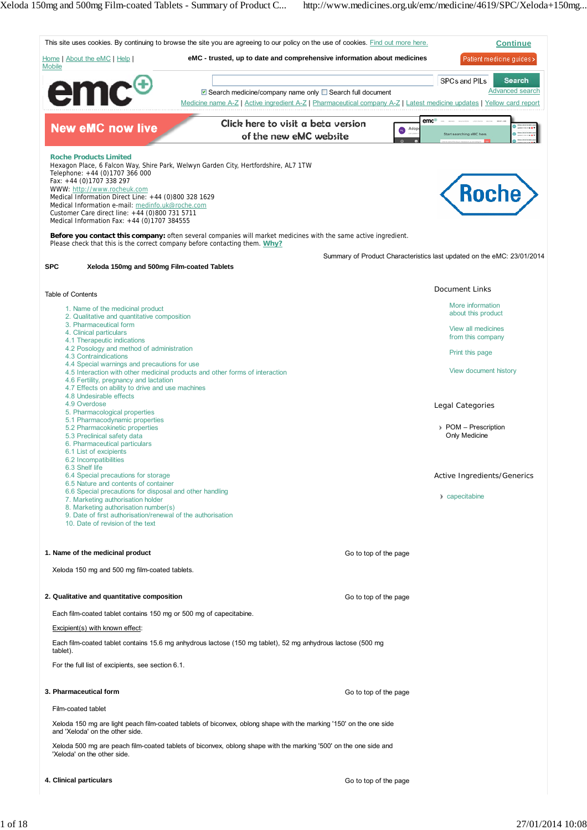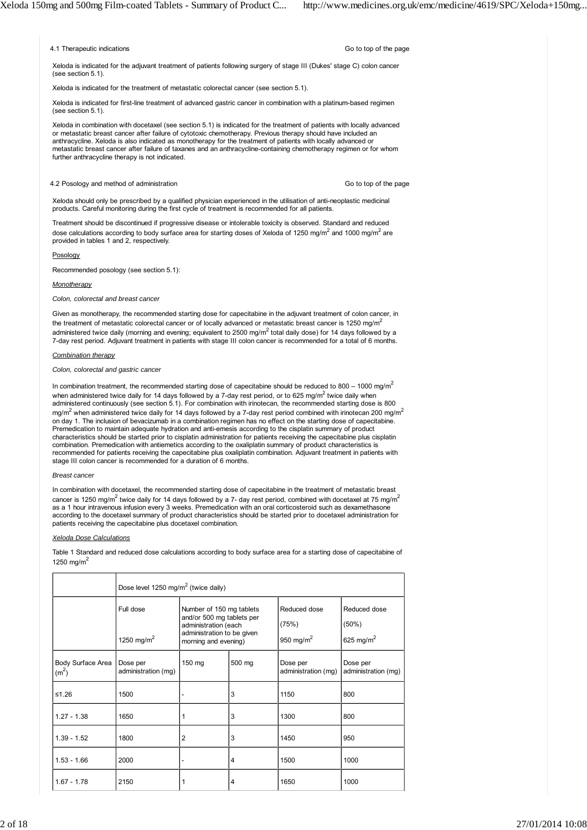4.1 Therapeutic indications

Go to top of the page

Xeloda is indicated for the adjuvant treatment of patients following surgery of stage III (Dukes' stage C) colon cancer (see section 5.1).

Xeloda is indicated for the treatment of metastatic colorectal cancer (see section 5.1).

Xeloda is indicated for first-line treatment of advanced gastric cancer in combination with a platinum-based regimen (see section 5.1).

Xeloda in combination with docetaxel (see section 5.1) is indicated for the treatment of patients with locally advanced or metastatic breast cancer after failure of cytotoxic chemotherapy. Previous therapy should have included an anthracycline. Xeloda is also indicated as monotherapy for the treatment of patients with locally advanced or metastatic breast cancer after failure of taxanes and an anthracycline-containing chemotherapy regimen or for whom further anthracycline therapy is not indicated.

## 4.2 Posology and method of administration

Go to top of the page

Xeloda should only be prescribed by a qualified physician experienced in the utilisation of anti-neoplastic medicinal products. Careful monitoring during the first cycle of treatment is recommended for all patients.

Treatment should be discontinued if progressive disease or intolerable toxicity is observed. Standard and reduced dose calculations according to body surface area for starting doses of Xeloda of 1250 mg/m<sup>2</sup> and 1000 mg/m<sup>2</sup> are provided in tables 1 and 2, respectively.

## Posology

Recommended posology (see section 5.1):

## *Monotherapy*

*Colon, colorectal and breast cancer*

Given as monotherapy, the recommended starting dose for capecitabine in the adjuvant treatment of colon cancer, in the treatment of metastatic colorectal cancer or of locally advanced or metastatic breast cancer is 1250 mg/m<sup>2</sup> administered twice daily (morning and evening; equivalent to 2500 mg/m<sup>2</sup> total daily dose) for 14 days followed by a 7-day rest period. Adjuvant treatment in patients with stage III colon cancer is recommended for a total of 6 months.

#### *Combination therapy*

#### *Colon, colorectal and gastric cancer*

In combination treatment, the recommended starting dose of capecitabine should be reduced to 800 – 1000 mg/m<sup>2</sup> when administered twice daily for 14 days followed by a 7-day rest period, or to 625 mg/m<sup>2</sup> twice daily when administered continuously (see section 5.1). For combination with irinotecan, the recommended starting dose is 800 mg/m<sup>2</sup> when administered twice daily for 14 days followed by a 7-day rest period combined with irinotecan 200 mg/m<sup>2</sup> on day 1. The inclusion of bevacizumab in a combination regimen has no effect on the starting dose of capecitabine. Premedication to maintain adequate hydration and anti-emesis according to the cisplatin summary of product characteristics should be started prior to cisplatin administration for patients receiving the capecitabine plus cisplatin combination. Premedication with antiemetics according to the oxaliplatin summary of product characteristics is recommended for patients receiving the capecitabine plus oxaliplatin combination. Adjuvant treatment in patients with stage III colon cancer is recommended for a duration of 6 months.

## *Breast cancer*

In combination with docetaxel, the recommended starting dose of capecitabine in the treatment of metastatic breast cancer is 1250 mg/m<sup>2</sup> twice daily for 14 days followed by a 7- day rest period, combined with docetaxel at 75 mg/m<sup>2</sup> as a 1 hour intravenous infusion every 3 weeks. Premedication with an oral corticosteroid such as dexamethasone according to the docetaxel summary of product characteristics should be started prior to docetaxel administration for patients receiving the capecitabine plus docetaxel combination.

#### *Xeloda Dose Calculations*

Table 1 Standard and reduced dose calculations according to body surface area for a starting dose of capecitabine of 1250 mg/ $m^2$ 

|                                        | Dose level 1250 mg/m <sup>2</sup> (twice daily) |                                                                                                                                     |                |                                                |                                                |
|----------------------------------------|-------------------------------------------------|-------------------------------------------------------------------------------------------------------------------------------------|----------------|------------------------------------------------|------------------------------------------------|
|                                        | Full dose<br>1250 mg/m <sup>2</sup>             | Number of 150 mg tablets<br>and/or 500 mg tablets per<br>administration (each<br>administration to be given<br>morning and evening) |                | Reduced dose<br>(75%)<br>950 mg/m <sup>2</sup> | Reduced dose<br>(50%)<br>625 mg/m <sup>2</sup> |
| Body Surface Area<br>(m <sup>2</sup> ) | Dose per<br>administration (mg)                 | 150 mg                                                                                                                              | 500 mg         | Dose per<br>administration (mg)                | Dose per<br>administration (mg)                |
| $≤1.26$                                | 1500                                            |                                                                                                                                     | 3              | 1150                                           | 800                                            |
| $1.27 - 1.38$                          | 1650                                            |                                                                                                                                     | 3              | 1300                                           | 800                                            |
| $1.39 - 1.52$                          | 1800                                            | $\overline{2}$                                                                                                                      | 3              | 1450                                           | 950                                            |
| $1.53 - 1.66$                          | 2000                                            |                                                                                                                                     | $\overline{4}$ | 1500                                           | 1000                                           |
| $1.67 - 1.78$                          | 2150                                            | 1                                                                                                                                   | 4              | 1650                                           | 1000                                           |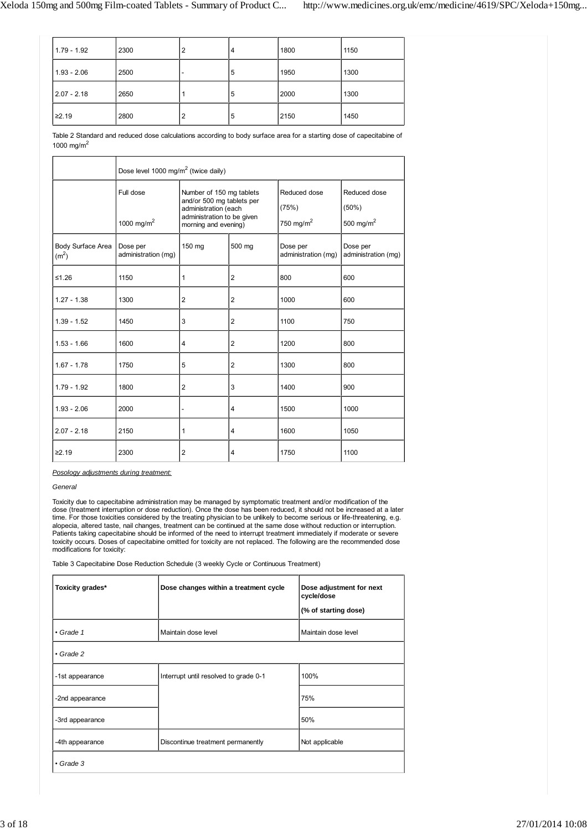| 1.79 - 1.92   | 2300 | 2 | 4 | 1800 | 1150 |
|---------------|------|---|---|------|------|
| $1.93 - 2.06$ | 2500 | - | 5 | 1950 | 1300 |
|               |      |   |   |      |      |
| $2.07 - 2.18$ | 2650 |   | 5 | 2000 | 1300 |
| 22.19         | 2800 | 2 | 5 | 2150 | 1450 |

Table 2 Standard and reduced dose calculations according to body surface area for a starting dose of capecitabine of 1000 mg/m2

|                                        | Dose level 1000 mg/m <sup>2</sup> (twice daily) |                                                                                                                                     |                |                                        |                                           |
|----------------------------------------|-------------------------------------------------|-------------------------------------------------------------------------------------------------------------------------------------|----------------|----------------------------------------|-------------------------------------------|
|                                        | Full dose<br>1000 mg/m <sup>2</sup>             | Number of 150 mg tablets<br>and/or 500 mg tablets per<br>administration (each<br>administration to be given<br>morning and evening) |                | Reduced dose<br>(75%)<br>750 mg/m $^2$ | Reduced dose<br>$(50\%)$<br>500 mg/m $^2$ |
| Body Surface Area<br>(m <sup>2</sup> ) | Dose per<br>administration (mg)                 | 150 mg                                                                                                                              | 500 mg         | Dose per<br>administration (mg)        | Dose per<br>administration (mg)           |
| $≤1.26$                                | 1150                                            | 1                                                                                                                                   | $\overline{2}$ | 800                                    | 600                                       |
| $1.27 - 1.38$                          | 1300                                            | 2                                                                                                                                   | $\overline{2}$ | 1000                                   | 600                                       |
| $1.39 - 1.52$                          | 1450                                            | 3                                                                                                                                   | $\overline{2}$ | 1100                                   | 750                                       |
| $1.53 - 1.66$                          | 1600                                            | 4                                                                                                                                   | $\overline{2}$ | 1200                                   | 800                                       |
| $1.67 - 1.78$                          | 1750                                            | 5                                                                                                                                   | $\overline{2}$ | 1300                                   | 800                                       |
| $1.79 - 1.92$                          | 1800                                            | $\overline{2}$                                                                                                                      | 3              | 1400                                   | 900                                       |
| $1.93 - 2.06$                          | 2000                                            |                                                                                                                                     | $\overline{4}$ | 1500                                   | 1000                                      |
| $2.07 - 2.18$                          | 2150                                            | 1                                                                                                                                   | $\overline{4}$ | 1600                                   | 1050                                      |
| ≥2.19                                  | 2300                                            | $\overline{2}$                                                                                                                      | $\overline{4}$ | 1750                                   | 1100                                      |

*Posology adjustments during treatment:*

*General*

Toxicity due to capecitabine administration may be managed by symptomatic treatment and/or modification of the dose (treatment interruption or dose reduction). Once the dose has been reduced, it should not be increased at a later time. For those toxicities considered by the treating physician to be unlikely to become serious or life-threatening, e.g. alopecia, altered taste, nail changes, treatment can be continued at the same dose without reduction or interruption. Patients taking capecitabine should be informed of the need to interrupt treatment immediately if moderate or severe toxicity occurs. Doses of capecitabine omitted for toxicity are not replaced. The following are the recommended dose modifications for toxicity:

Table 3 Capecitabine Dose Reduction Schedule (3 weekly Cycle or Continuous Treatment)

| Toxicity grades* | Dose changes within a treatment cycle | Dose adjustment for next<br>cycle/dose<br>(% of starting dose) |  |  |  |
|------------------|---------------------------------------|----------------------------------------------------------------|--|--|--|
| $\cdot$ Grade 1  | Maintain dose level                   | Maintain dose level                                            |  |  |  |
| $\cdot$ Grade 2  |                                       |                                                                |  |  |  |
| -1st appearance  | Interrupt until resolved to grade 0-1 | 100%                                                           |  |  |  |
| -2nd appearance  |                                       | 75%                                                            |  |  |  |
| -3rd appearance  |                                       | 50%                                                            |  |  |  |
| -4th appearance  | Discontinue treatment permanently     | Not applicable                                                 |  |  |  |
| $\cdot$ Grade 3  |                                       |                                                                |  |  |  |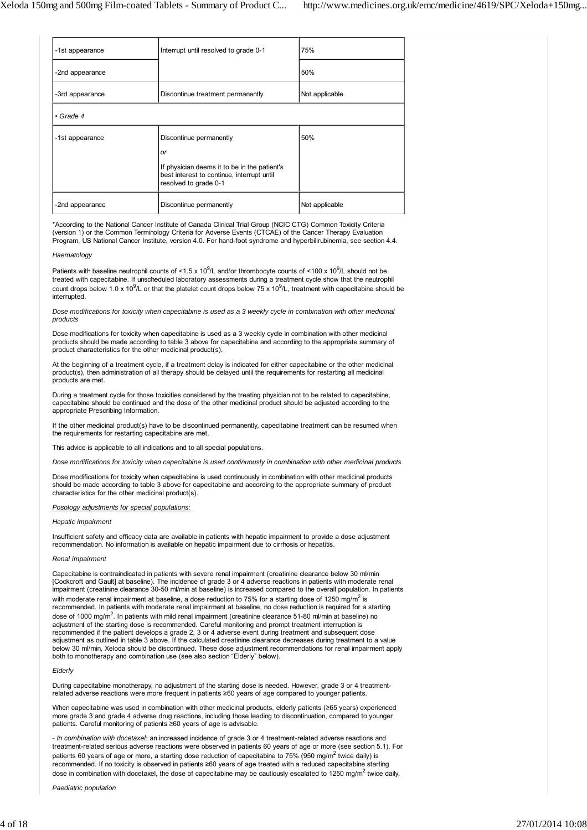| -1st appearance | Interrupt until resolved to grade 0-1                                                                                                                | 75%            |  |  |  |  |
|-----------------|------------------------------------------------------------------------------------------------------------------------------------------------------|----------------|--|--|--|--|
| -2nd appearance |                                                                                                                                                      | 50%            |  |  |  |  |
| -3rd appearance | Discontinue treatment permanently                                                                                                                    | Not applicable |  |  |  |  |
| $\cdot$ Grade 4 |                                                                                                                                                      |                |  |  |  |  |
| -1st appearance | Discontinue permanently<br>or<br>If physician deems it to be in the patient's<br>best interest to continue, interrupt until<br>resolved to grade 0-1 | 50%            |  |  |  |  |
| -2nd appearance | Discontinue permanently                                                                                                                              | Not applicable |  |  |  |  |

\*According to the National Cancer Institute of Canada Clinical Trial Group (NCIC CTG) Common Toxicity Criteria (version 1) or the Common Terminology Criteria for Adverse Events (CTCAE) of the Cancer Therapy Evaluation Program, US National Cancer Institute, version 4.0. For hand-foot syndrome and hyperbilirubinemia, see section 4.4.

#### *Haematology*

Patients with baseline neutrophil counts of <1.5 x 10<sup>9</sup>/L and/or thrombocyte counts of <100 x 10<sup>9</sup>/L should not be treated with capecitabine. If unscheduled laboratory assessments during a treatment cycle show that the neutrophil count drops below 1.0 x 10<sup>9</sup>/L or that the platelet count drops below 75 x 10<sup>9</sup>/L, treatment with capecitabine should be interrupted.

*Dose modifications for toxicity when capecitabine is used as a 3 weekly cycle in combination with other medicinal products*

Dose modifications for toxicity when capecitabine is used as a 3 weekly cycle in combination with other medicinal products should be made according to table 3 above for capecitabine and according to the appropriate summary of product characteristics for the other medicinal product(s).

At the beginning of a treatment cycle, if a treatment delay is indicated for either capecitabine or the other medicinal product(s), then administration of all therapy should be delayed until the requirements for restarting all medicinal products are met.

During a treatment cycle for those toxicities considered by the treating physician not to be related to capecitabine, capecitabine should be continued and the dose of the other medicinal product should be adjusted according to the appropriate Prescribing Information.

If the other medicinal product(s) have to be discontinued permanently, capecitabine treatment can be resumed when the requirements for restarting capecitabine are met.

This advice is applicable to all indications and to all special populations.

*Dose modifications for toxicity when capecitabine is used continuously in combination with other medicinal products*

Dose modifications for toxicity when capecitabine is used continuously in combination with other medicinal products should be made according to table 3 above for capecitabine and according to the appropriate summary of product characteristics for the other medicinal product(s).

## *Posology adjustments for special populations:*

#### *Hepatic impairment*

Insufficient safety and efficacy data are available in patients with hepatic impairment to provide a dose adjustment recommendation. No information is available on hepatic impairment due to cirrhosis or hepatitis.

### *Renal impairment*

Capecitabine is contraindicated in patients with severe renal impairment (creatinine clearance below 30 ml/min [Cockcroft and Gault] at baseline). The incidence of grade 3 or 4 adverse reactions in patients with moderate renal impairment (creatinine clearance 30-50 ml/min at baseline) is increased compared to the overall population. In patients with moderate renal impairment at baseline, a dose reduction to 75% for a starting dose of 1250 mg/m<sup>2</sup> is recommended. In patients with moderate renal impairment at baseline, no dose reduction is required for a starting dose of 1000 mg/m<sup>2</sup>. In patients with mild renal impairment (creatinine clearance 51-80 ml/min at baseline) no adjustment of the starting dose is recommended. Careful monitoring and prompt treatment interruption is recommended if the patient develops a grade 2, 3 or 4 adverse event during treatment and subsequent dose adjustment as outlined in table 3 above. If the calculated creatinine clearance decreases during treatment to a value below 30 ml/min, Xeloda should be discontinued. These dose adjustment recommendations for renal impairment apply both to monotherapy and combination use (see also section "Elderly" below).

#### *Elderly*

During capecitabine monotherapy, no adjustment of the starting dose is needed. However, grade 3 or 4 treatmentrelated adverse reactions were more frequent in patients ≥60 years of age compared to younger patients.

When capecitabine was used in combination with other medicinal products, elderly patients (≥65 years) experienced more grade 3 and grade 4 adverse drug reactions, including those leading to discontinuation, compared to younger patients. Careful monitoring of patients ≥60 years of age is advisable.

- *In combination with docetaxel*: an increased incidence of grade 3 or 4 treatment-related adverse reactions and treatment-related serious adverse reactions were observed in patients 60 years of age or more (see section 5.1). For patients 60 years of age or more, a starting dose reduction of capecitabine to 75% (950 mg/m<sup>2</sup> twice daily) is recommended. If no toxicity is observed in patients ≥60 years of age treated with a reduced capecitabine starting dose in combination with docetaxel, the dose of capecitabine may be cautiously escalated to 1250 mg/m<sup>2</sup> twice daily.

*Paediatric population*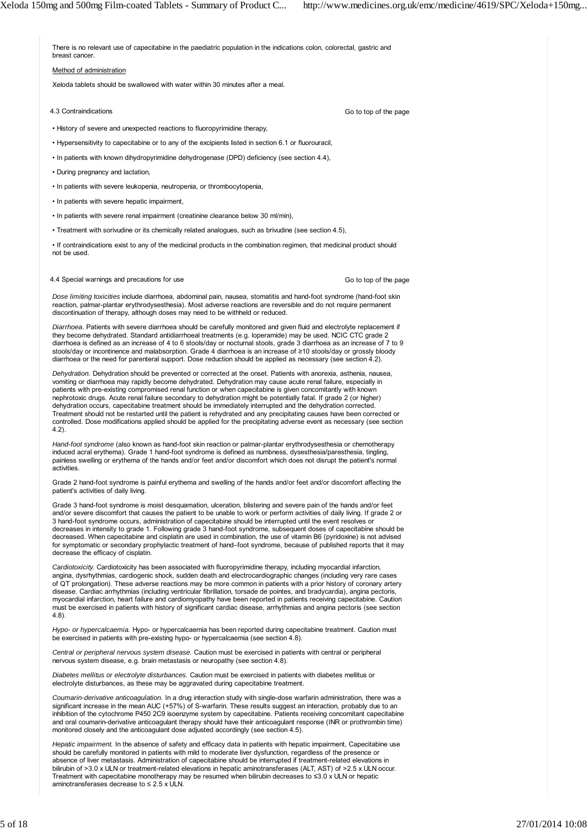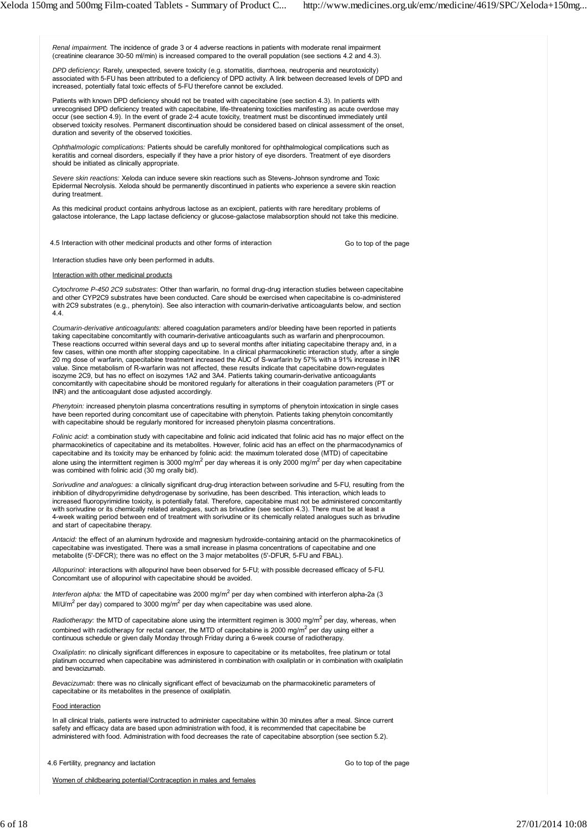*Renal impairment.* The incidence of grade 3 or 4 adverse reactions in patients with moderate renal impairment (creatinine clearance 30-50 ml/min) is increased compared to the overall population (see sections 4.2 and 4.3).

*DPD deficiency*: Rarely, unexpected, severe toxicity (e.g. stomatitis, diarrhoea, neutropenia and neurotoxicity) associated with 5-FU has been attributed to a deficiency of DPD activity. A link between decreased levels of DPD and increased, potentially fatal toxic effects of 5-FU therefore cannot be excluded.

Patients with known DPD deficiency should not be treated with capecitabine (see section 4.3). In patients with unrecognised DPD deficiency treated with capecitabine, life-threatening toxicities manifesting as acute overdose may occur (see section 4.9). In the event of grade 2-4 acute toxicity, treatment must be discontinued immediately until observed toxicity resolves. Permanent discontinuation should be considered based on clinical assessment of the onset, duration and severity of the observed toxicities.

*Ophthalmologic complications:* Patients should be carefully monitored for ophthalmological complications such as keratitis and corneal disorders, especially if they have a prior history of eye disorders. Treatment of eye disorders should be initiated as clinically appropriate.

*Severe skin reactions:* Xeloda can induce severe skin reactions such as Stevens-Johnson syndrome and Toxic Epidermal Necrolysis. Xeloda should be permanently discontinued in patients who experience a severe skin reaction during treatment.

As this medicinal product contains anhydrous lactose as an excipient, patients with rare hereditary problems of galactose intolerance, the Lapp lactase deficiency or glucose-galactose malabsorption should not take this medicine.

4.5 Interaction with other medicinal products and other forms of interaction

Go to top of the page

Interaction studies have only been performed in adults.

Interaction with other medicinal products

*Cytochrome P-450 2C9 substrates*: Other than warfarin, no formal drug-drug interaction studies between capecitabine and other CYP2C9 substrates have been conducted. Care should be exercised when capecitabine is co-administered with 2C9 substrates (e.g., phenytoin). See also interaction with coumarin-derivative anticoagulants below, and section 4.4.

*Coumarin-derivative anticoagulants:* altered coagulation parameters and/or bleeding have been reported in patients taking capecitabine concomitantly with coumarin-derivative anticoagulants such as warfarin and phenprocoumon. These reactions occurred within several days and up to several months after initiating capecitabine therapy and, in a few cases, within one month after stopping capecitabine. In a clinical pharmacokinetic interaction study, after a single 20 mg dose of warfarin, capecitabine treatment increased the AUC of S-warfarin by 57% with a 91% increase in INR value. Since metabolism of R-warfarin was not affected, these results indicate that capecitabine down-regulates isozyme 2C9, but has no effect on isozymes 1A2 and 3A4. Patients taking coumarin-derivative anticoagulants concomitantly with capecitabine should be monitored regularly for alterations in their coagulation parameters (PT or INR) and the anticoagulant dose adjusted accordingly.

*Phenytoin:* increased phenytoin plasma concentrations resulting in symptoms of phenytoin intoxication in single cases have been reported during concomitant use of capecitabine with phenytoin. Patients taking phenytoin concomitantly with capecitabine should be regularly monitored for increased phenytoin plasma concentrations.

*Folinic acid*: a combination study with capecitabine and folinic acid indicated that folinic acid has no major effect on the pharmacokinetics of capecitabine and its metabolites. However, folinic acid has an effect on the pharmacodynamics of capecitabine and its toxicity may be enhanced by folinic acid: the maximum tolerated dose (MTD) of capecitabine alone using the intermittent regimen is 3000 mg/m<sup>2</sup> per day whereas it is only 2000 mg/m<sup>2</sup> per day when capecitabine was combined with folinic acid (30 mg orally bid).

*Sorivudine and analogues:* a clinically significant drug-drug interaction between sorivudine and 5-FU, resulting from the inhibition of dihydropyrimidine dehydrogenase by sorivudine, has been described. This interaction, which leads to increased fluoropyrimidine toxicity, is potentially fatal. Therefore, capecitabine must not be administered concomitantly with sorivudine or its chemically related analogues, such as brivudine (see section 4.3). There must be at least a 4-week waiting period between end of treatment with sorivudine or its chemically related analogues such as brivudine and start of capecitabine therapy.

*Antacid:* the effect of an aluminum hydroxide and magnesium hydroxide-containing antacid on the pharmacokinetics of capecitabine was investigated. There was a small increase in plasma concentrations of capecitabine and one metabolite (5'-DFCR); there was no effect on the 3 major metabolites (5'-DFUR, 5-FU and FBAL).

*Allopurinol:* interactions with allopurinol have been observed for 5-FU; with possible decreased efficacy of 5-FU. Concomitant use of allopurinol with capecitabine should be avoided.

Interferon alpha: the MTD of capecitabine was 2000 mg/m<sup>2</sup> per day when combined with interferon alpha-2a (3 MIU/m<sup>2</sup> per day) compared to 3000 mg/m<sup>2</sup> per day when capecitabine was used alone.

Radiotherapy: the MTD of capecitabine alone using the intermittent regimen is 3000 mg/m<sup>2</sup> per day, whereas, when combined with radiotherapy for rectal cancer, the MTD of capecitabine is 2000 mg/m<sup>2</sup> per day using either a continuous schedule or given daily Monday through Friday during a 6-week course of radiotherapy.

*Oxaliplatin*: no clinically significant differences in exposure to capecitabine or its metabolites, free platinum or total platinum occurred when capecitabine was administered in combination with oxaliplatin or in combination with oxaliplatin and bevacizumab.

*Bevacizumab*: there was no clinically significant effect of bevacizumab on the pharmacokinetic parameters of capecitabine or its metabolites in the presence of oxaliplatin.

Food interaction

In all clinical trials, patients were instructed to administer capecitabine within 30 minutes after a meal. Since current safety and efficacy data are based upon administration with food, it is recommended that capecitabine be administered with food. Administration with food decreases the rate of capecitabine absorption (see section 5.2).

4.6 Fertility, pregnancy and lactation

Go to top of the page

Women of childbearing potential/Contraception in males and females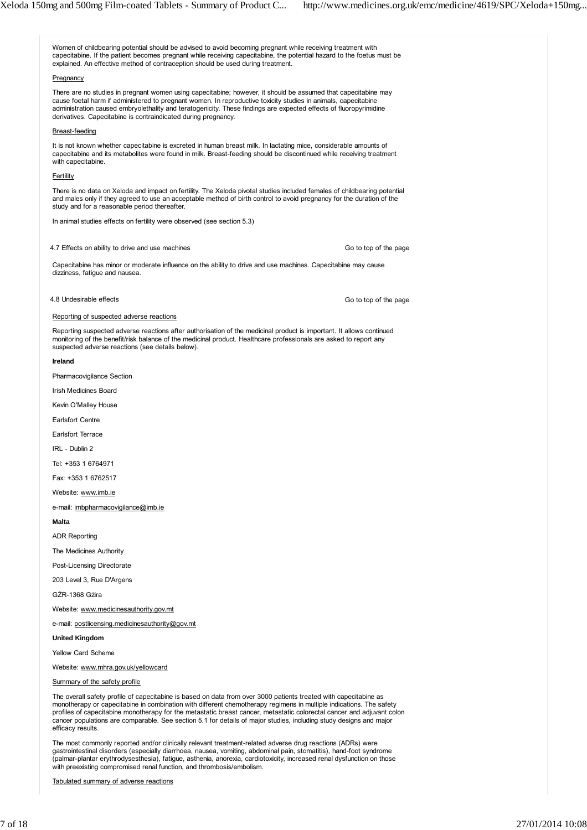Women of childbearing potential should be advised to avoid becoming pregnant while receiving treatment with capecitabine. If the patient becomes pregnant while receiving capecitabine, the potential hazard to the foetus must be explained. An effective method of contraception should be used during treatment. Pregnancy There are no studies in pregnant women using capecitabine; however, it should be assumed that capecitabine may cause foetal harm if administered to pregnant women. In reproductive toxicity studies in animals, capecitabine administration caused embryolethality and teratogenicity. These findings are expected effects of fluoropyrimidine derivatives. Capecitabine is contraindicated during pregnancy. Breast-feeding It is not known whether capecitabine is excreted in human breast milk. In lactating mice, considerable amounts of capecitabine and its metabolites were found in milk. Breast-feeding should be discontinued while receiving treatment with capecitabine. **Fertility** There is no data on Xeloda and impact on fertility. The Xeloda pivotal studies included females of childbearing potential and males only if they agreed to use an acceptable method of birth control to avoid pregnancy for the duration of the study and for a reasonable period thereafter. In animal studies effects on fertility were observed (see section 5.3) 4.7 Effects on ability to drive and use machines Capecitabine has minor or moderate influence on the ability to drive and use machines. Capecitabine may cause dizziness, fatigue and nausea. 4.8 Undesirable effects Reporting of suspected adverse reactions Reporting suspected adverse reactions after authorisation of the medicinal product is important. It allows continued monitoring of the benefit/risk balance of the medicinal product. Healthcare professionals are asked to report any suspected adverse reactions (see details below). **Ireland** Pharmacovigilance Section Irish Medicines Board Kevin O'Malley House Earlsfort Centre Earlsfort Terrace IRL - Dublin 2 Tel: +353 1 6764971 Fax: +353 1 6762517 Website: www.imb.ie e-mail: imbpharmacovigilance@imb.ie **Malta** ADR Reporting The Medicines Authority Post-Licensing Directorate 203 Level 3, Rue D'Argens GŻR-1368 Gżira Website: www.medicinesauthority.gov.mt e-mail: postlicensing.medicinesauthority@gov.mt **United Kingdom** Yellow Card Scheme Website: www.mhra.gov.uk/yellowcard Go to top of the page Go to top of the page

Summary of the safety profile

The overall safety profile of capecitabine is based on data from over 3000 patients treated with capecitabine as monotherapy or capecitabine in combination with different chemotherapy regimens in multiple indications. The safety profiles of capecitabine monotherapy for the metastatic breast cancer, metastatic colorectal cancer and adjuvant colon cancer populations are comparable. See section 5.1 for details of major studies, including study designs and major efficacy results.

The most commonly reported and/or clinically relevant treatment-related adverse drug reactions (ADRs) were gastrointestinal disorders (especially diarrhoea, nausea, vomiting, abdominal pain, stomatitis), hand-foot syndrome (palmar-plantar erythrodysesthesia), fatigue, asthenia, anorexia, cardiotoxicity, increased renal dysfunction on those with preexisting compromised renal function, and thrombosis/embolism.

Tabulated summary of adverse reactions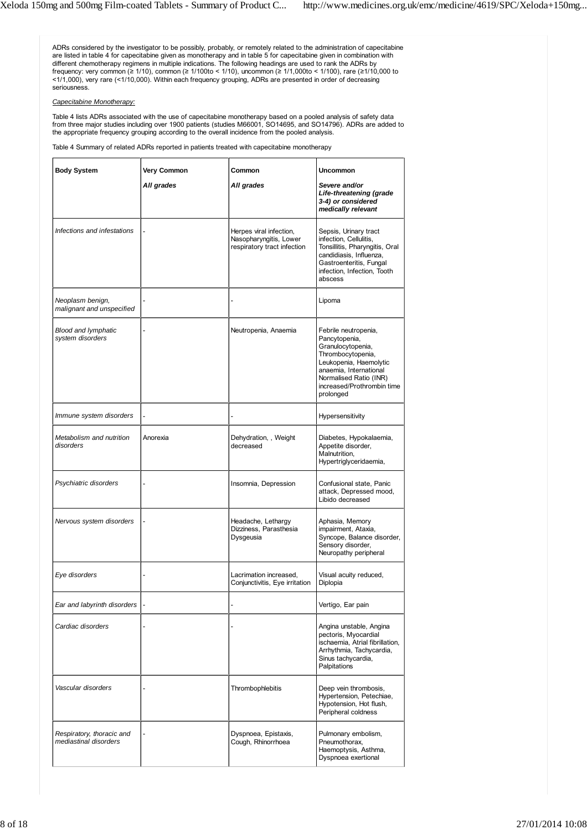ADRs considered by the investigator to be possibly, probably, or remotely related to the administration of capecitabine are listed in table 4 for capecitabine given as monotherapy and in table 5 for capecitabine given in combination with different chemotherapy regimens in multiple indications. The following headings are used to rank the ADRs by frequency: very common (≥ 1/10), common (≥ 1/100to < 1/10), uncommon (≥ 1/1,000to < 1/100), rare (≥1/10,000 to <1/1,000), very rare (<1/10,000). Within each frequency grouping, ADRs are presented in order of decreasing seriousness.

# *Capecitabine Monotherapy:*

Table 4 lists ADRs associated with the use of capecitabine monotherapy based on a pooled analysis of safety data from three major studies including over 1900 patients (studies M66001, SO14695, and SO14796). ADRs are added to the appropriate frequency grouping according to the overall incidence from the pooled analysis.

Table 4 Summary of related ADRs reported in patients treated with capecitabine monotherapy

| <b>Body System</b>                                 | Very Common<br>All grades | Common<br>All grades                                                             | Uncommon<br>Severe and/or<br>Life-threatening (grade<br>3-4) or considered<br>medically relevant                                                                                                         |
|----------------------------------------------------|---------------------------|----------------------------------------------------------------------------------|----------------------------------------------------------------------------------------------------------------------------------------------------------------------------------------------------------|
| Infections and infestations                        |                           | Herpes viral infection,<br>Nasopharyngitis, Lower<br>respiratory tract infection | Sepsis, Urinary tract<br>infection, Cellulitis,<br>Tonsillitis, Pharyngitis, Oral<br>candidiasis, Influenza,<br>Gastroenteritis, Fungal<br>infection, Infection, Tooth<br>abscess                        |
| Neoplasm benign,<br>malignant and unspecified      |                           | L.                                                                               | Lipoma                                                                                                                                                                                                   |
| <b>Blood and lymphatic</b><br>system disorders     |                           | Neutropenia, Anaemia                                                             | Febrile neutropenia,<br>Pancytopenia,<br>Granulocytopenia,<br>Thrombocytopenia,<br>Leukopenia, Haemolytic<br>anaemia, International<br>Normalised Ratio (INR)<br>increased/Prothrombin time<br>prolonged |
| Immune system disorders                            |                           |                                                                                  | Hypersensitivity                                                                                                                                                                                         |
| Metabolism and nutrition<br>disorders              | Anorexia                  | Dehydration, , Weight<br>decreased                                               | Diabetes, Hypokalaemia,<br>Appetite disorder,<br>Malnutrition.<br>Hypertriglyceridaemia,                                                                                                                 |
| Psychiatric disorders                              | L.                        | Insomnia, Depression                                                             | Confusional state, Panic<br>attack, Depressed mood,<br>Libido decreased                                                                                                                                  |
| Nervous system disorders                           |                           | Headache, Lethargy<br>Dizziness, Parasthesia<br>Dysgeusia                        | Aphasia, Memory<br>impairment, Ataxia,<br>Syncope, Balance disorder,<br>Sensory disorder,<br>Neuropathy peripheral                                                                                       |
| Eye disorders                                      |                           | Lacrimation increased,<br>Conjunctivitis, Eye irritation                         | Visual acuity reduced,<br>Diplopia                                                                                                                                                                       |
| Ear and labyrinth disorders                        |                           |                                                                                  | Vertigo, Ear pain                                                                                                                                                                                        |
| Cardiac disorders                                  |                           |                                                                                  | Angina unstable, Angina<br>pectoris, Myocardial<br>ischaemia, Atrial fibrillation,<br>Arrhythmia, Tachycardia,<br>Sinus tachycardia,<br>Palpitations                                                     |
| Vascular disorders                                 |                           | Thrombophlebitis                                                                 | Deep vein thrombosis,<br>Hypertension, Petechiae,<br>Hypotension, Hot flush,<br>Peripheral coldness                                                                                                      |
| Respiratory, thoracic and<br>mediastinal disorders |                           | Dyspnoea, Epistaxis,<br>Cough, Rhinorrhoea                                       | Pulmonary embolism,<br>Pneumothorax,<br>Haemoptysis, Asthma,<br>Dyspnoea exertional                                                                                                                      |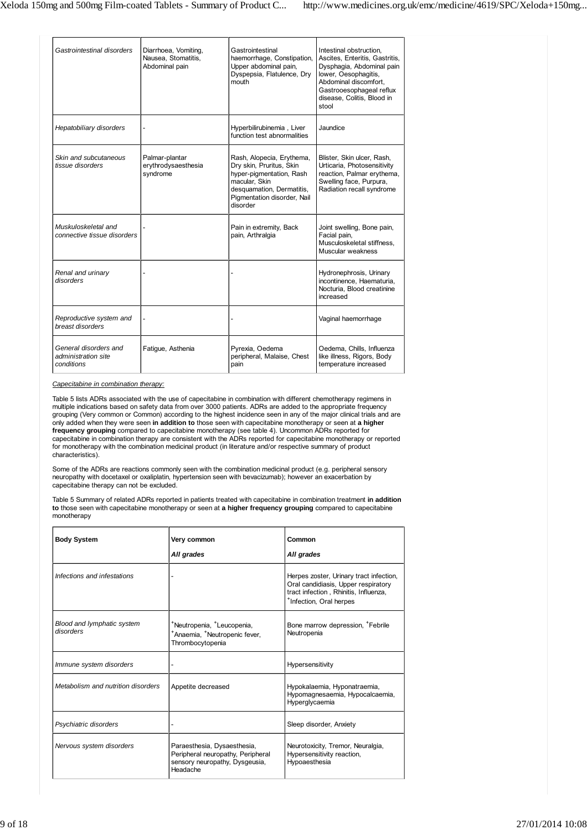| Gastrointestinal disorders                                 | Diarrhoea, Vomiting,<br>Nausea, Stomatitis,<br>Abdominal pain | Gastrointestinal<br>haemorrhage, Constipation,<br>Upper abdominal pain,<br>Dyspepsia, Flatulence, Dry<br>mouth                                                             | Intestinal obstruction,<br>Ascites, Enteritis, Gastritis,<br>Dysphagia, Abdominal pain<br>lower, Oesophagitis,<br>Abdominal discomfort.<br>Gastrooesophageal reflux<br>disease, Colitis, Blood in<br>stool |
|------------------------------------------------------------|---------------------------------------------------------------|----------------------------------------------------------------------------------------------------------------------------------------------------------------------------|------------------------------------------------------------------------------------------------------------------------------------------------------------------------------------------------------------|
| Hepatobiliary disorders                                    | $\overline{a}$                                                | Hyperbilirubinemia, Liver<br>function test abnormalities                                                                                                                   | Jaundice                                                                                                                                                                                                   |
| Skin and subcutaneous<br>tissue disorders                  | Palmar-plantar<br>erythrodysaesthesia<br>syndrome             | Rash, Alopecia, Erythema,<br>Dry skin, Pruritus, Skin<br>hyper-pigmentation, Rash<br>macular, Skin<br>desquamation, Dermatitis,<br>Pigmentation disorder, Nail<br>disorder | Blister, Skin ulcer, Rash,<br>Urticaria, Photosensitivity<br>reaction, Palmar erythema,<br>Swelling face, Purpura,<br>Radiation recall syndrome                                                            |
| Muskuloskeletal and<br>connective tissue disorders         |                                                               | Pain in extremity, Back<br>pain, Arthralgia                                                                                                                                | Joint swelling, Bone pain,<br>Facial pain,<br>Musculoskeletal stiffness.<br>Muscular weakness                                                                                                              |
| Renal and urinary<br>disorders                             |                                                               |                                                                                                                                                                            | Hydronephrosis, Urinary<br>incontinence, Haematuria,<br>Nocturia. Blood creatinine<br>increased                                                                                                            |
| Reproductive system and<br>breast disorders                | $\overline{a}$                                                |                                                                                                                                                                            | Vaginal haemorrhage                                                                                                                                                                                        |
| General disorders and<br>administration site<br>conditions | Fatique, Asthenia                                             | Pyrexia, Oedema<br>peripheral, Malaise, Chest<br>pain                                                                                                                      | Oedema, Chills, Influenza<br>like illness, Rigors, Body<br>temperature increased                                                                                                                           |

## *Capecitabine in combination therapy:*

Table 5 lists ADRs associated with the use of capecitabine in combination with different chemotherapy regimens in multiple indications based on safety data from over 3000 patients. ADRs are added to the appropriate frequency grouping (Very common or Common) according to the highest incidence seen in any of the major clinical trials and are only added when they were seen **in addition to** those seen with capecitabine monotherapy or seen at **a higher frequency grouping** compared to capecitabine monotherapy (see table 4). Uncommon ADRs reported for capecitabine in combination therapy are consistent with the ADRs reported for capecitabine monotherapy or reported for monotherapy with the combination medicinal product (in literature and/or respective summary of product characteristics).

Some of the ADRs are reactions commonly seen with the combination medicinal product (e.g. peripheral sensory neuropathy with docetaxel or oxaliplatin, hypertension seen with bevacizumab); however an exacerbation by capecitabine therapy can not be excluded.

Table 5 Summary of related ADRs reported in patients treated with capecitabine in combination treatment **in addition to** those seen with capecitabine monotherapy or seen at **a higher frequency grouping** compared to capecitabine monotherapy

| <b>Body System</b>                      | Very common<br>All grades                                                                                                       | Common<br>All grades                                                                                                                                           |
|-----------------------------------------|---------------------------------------------------------------------------------------------------------------------------------|----------------------------------------------------------------------------------------------------------------------------------------------------------------|
| Infections and infestations             |                                                                                                                                 | Herpes zoster, Urinary tract infection,<br>Oral candidiasis, Upper respiratory<br>tract infection, Rhinitis, Influenza,<br><sup>+</sup> Infection, Oral herpes |
| Blood and lymphatic system<br>disorders | <sup>+</sup> Neutropenia, <sup>+</sup> Leucopenia,<br><sup>+</sup> Anaemia, <sup>+</sup> Neutropenic fever,<br>Thrombocytopenia | Bone marrow depression, <sup>+</sup> Febrile<br>Neutropenia                                                                                                    |
| Immune system disorders                 | $\overline{a}$                                                                                                                  | Hypersensitivity                                                                                                                                               |
| Metabolism and nutrition disorders      | Appetite decreased                                                                                                              | Hypokalaemia, Hyponatraemia,<br>Hypomagnesaemia, Hypocalcaemia,<br>Hyperglycaemia                                                                              |
| Psychiatric disorders                   | -                                                                                                                               | Sleep disorder, Anxiety                                                                                                                                        |
| Nervous system disorders                | Paraesthesia, Dysaesthesia,<br>Peripheral neuropathy, Peripheral<br>sensory neuropathy, Dysgeusia,<br>Headache                  | Neurotoxicity, Tremor, Neuralgia,<br>Hypersensitivity reaction,<br>Hypoaesthesia                                                                               |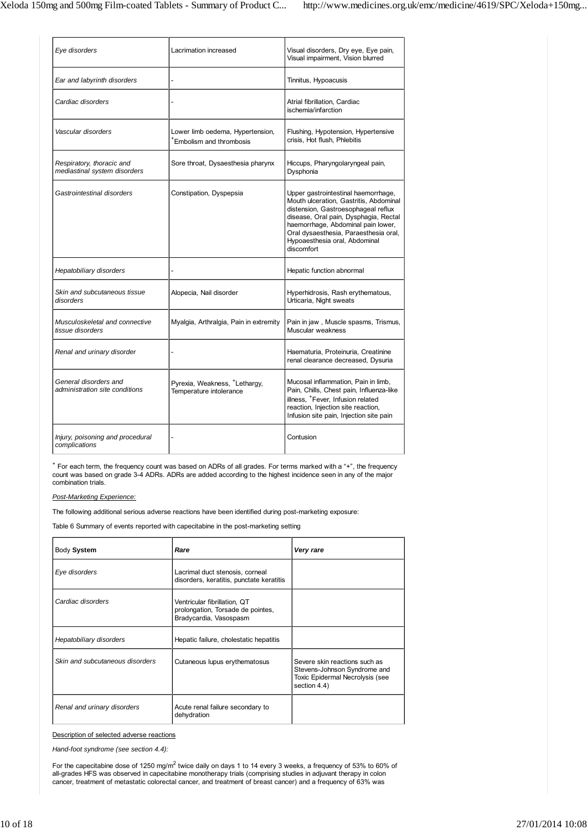| Eye disorders                                             | Lacrimation increased                                                | Visual disorders, Dry eye, Eye pain,<br>Visual impairment, Vision blurred                                                                                                                                                                                                                   |
|-----------------------------------------------------------|----------------------------------------------------------------------|---------------------------------------------------------------------------------------------------------------------------------------------------------------------------------------------------------------------------------------------------------------------------------------------|
| Ear and labyrinth disorders                               |                                                                      | Tinnitus, Hypoacusis                                                                                                                                                                                                                                                                        |
| Cardiac disorders                                         |                                                                      | Atrial fibrillation. Cardiac<br>ischemia/infarction                                                                                                                                                                                                                                         |
| Vascular disorders                                        | Lower limb oedema, Hypertension,<br>*Embolism and thrombosis         | Flushing, Hypotension, Hypertensive<br>crisis, Hot flush, Phlebitis                                                                                                                                                                                                                         |
| Respiratory, thoracic and<br>mediastinal system disorders | Sore throat, Dysaesthesia pharynx                                    | Hiccups, Pharyngolaryngeal pain,<br>Dysphonia                                                                                                                                                                                                                                               |
| Gastrointestinal disorders                                | Constipation, Dyspepsia                                              | Upper gastrointestinal haemorrhage,<br>Mouth ulceration, Gastritis, Abdominal<br>distension, Gastroesophageal reflux<br>disease, Oral pain, Dysphagia, Rectal<br>haemorrhage, Abdominal pain lower,<br>Oral dysaesthesia, Paraesthesia oral,<br>Hypoaesthesia oral, Abdominal<br>discomfort |
| Hepatobiliary disorders                                   |                                                                      | Hepatic function abnormal                                                                                                                                                                                                                                                                   |
| Skin and subcutaneous tissue<br>disorders                 | Alopecia, Nail disorder                                              | Hyperhidrosis, Rash erythematous,<br>Urticaria, Night sweats                                                                                                                                                                                                                                |
| Musculoskeletal and connective<br>tissue disorders        | Myalgia, Arthralgia, Pain in extremity                               | Pain in jaw, Muscle spasms, Trismus,<br>Muscular weakness                                                                                                                                                                                                                                   |
| Renal and urinary disorder                                |                                                                      | Haematuria, Proteinuria, Creatinine<br>renal clearance decreased, Dysuria                                                                                                                                                                                                                   |
| General disorders and<br>administration site conditions   | Pyrexia, Weakness, <sup>+</sup> Lethargy,<br>Temperature intolerance | Mucosal inflammation, Pain in limb,<br>Pain, Chills, Chest pain, Influenza-like<br>illness, <sup>+</sup> Fever, Infusion related<br>reaction, Injection site reaction,<br>Infusion site pain, Injection site pain                                                                           |
| Injury, poisoning and procedural<br>complications         |                                                                      | Contusion                                                                                                                                                                                                                                                                                   |

+ For each term, the frequency count was based on ADRs of all grades. For terms marked with a "+", the frequency count was based on grade 3-4 ADRs. ADRs are added according to the highest incidence seen in any of the major combination trials.

## *Post-Marketing Experience:*

The following additional serious adverse reactions have been identified during post-marketing exposure:

Table 6 Summary of events reported with capecitabine in the post-marketing setting

| Body System                     | Rare                                                                                        | Very rare                                                                                                        |
|---------------------------------|---------------------------------------------------------------------------------------------|------------------------------------------------------------------------------------------------------------------|
| Eye disorders                   | Lacrimal duct stenosis, corneal<br>disorders, keratitis, punctate keratitis                 |                                                                                                                  |
| Cardiac disorders               | Ventricular fibrillation, QT<br>prolongation, Torsade de pointes,<br>Bradycardia, Vasospasm |                                                                                                                  |
| Hepatobiliary disorders         | Hepatic failure, cholestatic hepatitis                                                      |                                                                                                                  |
| Skin and subcutaneous disorders | Cutaneous lupus erythematosus                                                               | Severe skin reactions such as<br>Stevens-Johnson Syndrome and<br>Toxic Epidermal Necrolysis (see<br>section 4.4) |
| Renal and urinary disorders     | Acute renal failure secondary to<br>dehydration                                             |                                                                                                                  |

## Description of selected adverse reactions

*Hand-foot syndrome (see section 4.4):*

For the capecitabine dose of 1250 mg/m<sup>2</sup> twice daily on days 1 to 14 every 3 weeks, a frequency of 53% to 60% of all-grades HFS was observed in capecitabine monotherapy trials (comprising studies in adjuvant therapy in colon cancer, treatment of metastatic colorectal cancer, and treatment of breast cancer) and a frequency of 63% was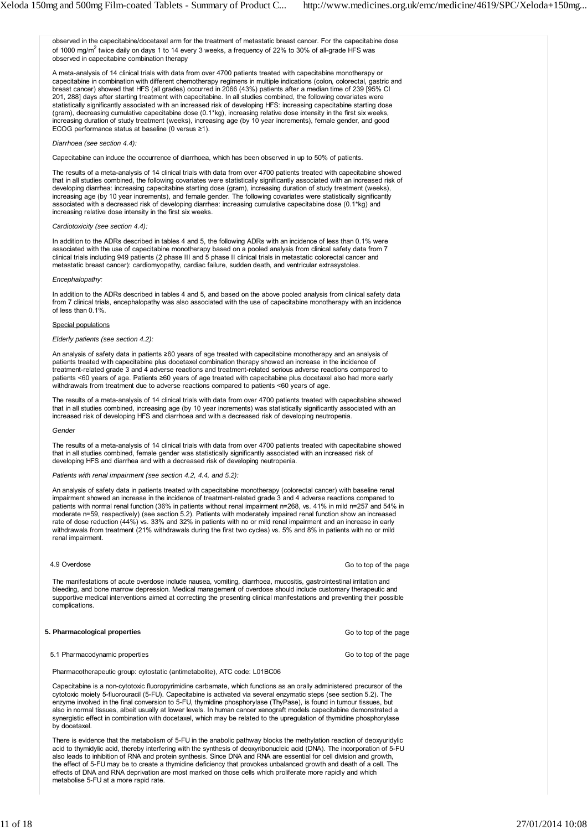observed in the capecitabine/docetaxel arm for the treatment of metastatic breast cancer. For the capecitabine dose of 1000 mg/m<sup>2</sup> twice daily on days 1 to 14 every 3 weeks, a frequency of 22% to 30% of all-grade HFS was observed in capecitabine combination therapy

A meta-analysis of 14 clinical trials with data from over 4700 patients treated with capecitabine monotherapy or capecitabine in combination with different chemotherapy regimens in multiple indications (colon, colorectal, gastric and breast cancer) showed that HFS (all grades) occurred in 2066 (43%) patients after a median time of 239 [95% CI 201, 288] days after starting treatment with capecitabine. In all studies combined, the following covariates were statistically significantly associated with an increased risk of developing HFS: increasing capecitabine starting dose (gram), decreasing cumulative capecitabine dose (0.1\*kg), increasing relative dose intensity in the first six weeks, increasing duration of study treatment (weeks), increasing age (by 10 year increments), female gender, and good ECOG performance status at baseline (0 versus ≥1).

# *Diarrhoea (see section 4.4):*

Capecitabine can induce the occurrence of diarrhoea, which has been observed in up to 50% of patients.

The results of a meta-analysis of 14 clinical trials with data from over 4700 patients treated with capecitabine showed that in all studies combined, the following covariates were statistically significantly associated with an increased risk of developing diarrhea: increasing capecitabine starting dose (gram), increasing duration of study treatment (weeks), increasing age (by 10 year increments), and female gender. The following covariates were statistically significantly associated with a decreased risk of developing diarrhea: increasing cumulative capecitabine dose (0.1\*kg) and increasing relative dose intensity in the first six weeks.

# *Cardiotoxicity (see section 4.4):*

In addition to the ADRs described in tables 4 and 5, the following ADRs with an incidence of less than 0.1% were associated with the use of capecitabine monotherapy based on a pooled analysis from clinical safety data from 7 clinical trials including 949 patients (2 phase III and 5 phase II clinical trials in metastatic colorectal cancer and metastatic breast cancer): cardiomyopathy, cardiac failure, sudden death, and ventricular extrasystoles.

# *Encephalopathy:*

In addition to the ADRs described in tables 4 and 5, and based on the above pooled analysis from clinical safety data from 7 clinical trials, encephalopathy was also associated with the use of capecitabine monotherapy with an incidence of less than 0.1%.

# Special populations

# *Elderly patients (see section 4.2):*

An analysis of safety data in patients ≥60 years of age treated with capecitabine monotherapy and an analysis of patients treated with capecitabine plus docetaxel combination therapy showed an increase in the incidence of treatment-related grade 3 and 4 adverse reactions and treatment-related serious adverse reactions compared to patients <60 years of age. Patients ≥60 years of age treated with capecitabine plus docetaxel also had more early withdrawals from treatment due to adverse reactions compared to patients <60 years of age.

The results of a meta-analysis of 14 clinical trials with data from over 4700 patients treated with capecitabine showed that in all studies combined, increasing age (by 10 year increments) was statistically significantly associated with an increased risk of developing HFS and diarrhoea and with a decreased risk of developing neutropenia.

#### *Gender*

The results of a meta-analysis of 14 clinical trials with data from over 4700 patients treated with capecitabine showed that in all studies combined, female gender was statistically significantly associated with an increased risk of developing HFS and diarrhea and with a decreased risk of developing neutropenia.

#### *Patients with renal impairment (see section 4.2, 4.4, and 5.2):*

An analysis of safety data in patients treated with capecitabine monotherapy (colorectal cancer) with baseline renal impairment showed an increase in the incidence of treatment-related grade 3 and 4 adverse reactions compared to patients with normal renal function (36% in patients without renal impairment n=268, vs. 41% in mild n=257 and 54% in moderate n=59, respectively) (see section 5.2). Patients with moderately impaired renal function show an increased rate of dose reduction (44%) vs. 33% and 32% in patients with no or mild renal impairment and an increase in early withdrawals from treatment (21% withdrawals during the first two cycles) vs. 5% and 8% in patients with no or mild renal impairment.

## 4.9 Overdose

#### Go to top of the page

The manifestations of acute overdose include nausea, vomiting, diarrhoea, mucositis, gastrointestinal irritation and bleeding, and bone marrow depression. Medical management of overdose should include customary therapeutic and supportive medical interventions aimed at correcting the presenting clinical manifestations and preventing their possible complications.

**5. Pharmacological properties** 5.1 Pharmacodynamic properties Go to top of the page Go to top of the page

Pharmacotherapeutic group: cytostatic (antimetabolite), ATC code: L01BC06

Capecitabine is a non-cytotoxic fluoropyrimidine carbamate, which functions as an orally administered precursor of the cytotoxic moiety 5-fluorouracil (5-FU). Capecitabine is activated via several enzymatic steps (see section 5.2). The enzyme involved in the final conversion to 5-FU, thymidine phosphorylase (ThyPase), is found in tumour tissues, but also in normal tissues, albeit usually at lower levels. In human cancer xenograft models capecitabine demonstrated a synergistic effect in combination with docetaxel, which may be related to the upregulation of thymidine phosphorylase by docetaxel.

There is evidence that the metabolism of 5-FU in the anabolic pathway blocks the methylation reaction of deoxyuridylic acid to thymidylic acid, thereby interfering with the synthesis of deoxyribonucleic acid (DNA). The incorporation of 5-FU also leads to inhibition of RNA and protein synthesis. Since DNA and RNA are essential for cell division and growth, the effect of 5-FU may be to create a thymidine deficiency that provokes unbalanced growth and death of a cell. The effects of DNA and RNA deprivation are most marked on those cells which proliferate more rapidly and which metabolise 5-FU at a more rapid rate.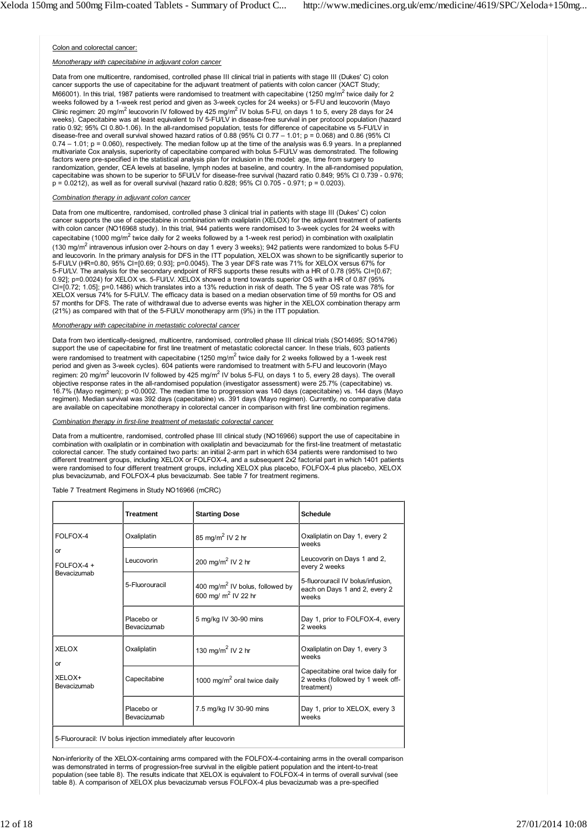#### Colon and colorectal cancer:

#### *Monotherapy with capecitabine in adjuvant colon cancer*

Data from one multicentre, randomised, controlled phase III clinical trial in patients with stage III (Dukes' C) colon cancer supports the use of capecitabine for the adjuvant treatment of patients with colon cancer (XACT Study; M66001). In this trial, 1987 patients were randomised to treatment with capecitabine (1250 mg/m<sup>2</sup> twice daily for 2 weeks followed by a 1-week rest period and given as 3-week cycles for 24 weeks) or 5-FU and leucovorin (Mayo Clinic regimen: 20 mg/m<sup>2</sup> leucovorin IV followed by 425 mg/m<sup>2</sup> IV bolus 5-FU, on days 1 to 5, every 28 days for 24 weeks). Capecitabine was at least equivalent to IV 5-FU/LV in disease-free survival in per protocol population (hazard ratio 0.92; 95% CI 0.80-1.06). In the all-randomised population, tests for difference of capecitabine vs 5-FU/LV in disease-free and overall survival showed hazard ratios of 0.88 (95% CI 0.77 – 1.01; p = 0.068) and 0.86 (95% CI  $0.74 - 1.01$ ;  $p = 0.060$ ), respectively. The median follow up at the time of the analysis was 6.9 years. In a preplanned multivariate Cox analysis, superiority of capecitabine compared with bolus 5-FU/LV was demonstrated. The following factors were pre-specified in the statistical analysis plan for inclusion in the model: age, time from surgery to randomization, gender, CEA levels at baseline, lymph nodes at baseline, and country. In the all-randomised population, capecitabine was shown to be superior to 5FU/LV for disease-free survival (hazard ratio 0.849; 95% CI 0.739 - 0.976; p = 0.0212), as well as for overall survival (hazard ratio 0.828; 95% CI 0.705 - 0.971; p = 0.0203).

#### *Combination therapy in adjuvant colon cancer*

Data from one multicentre, randomised, controlled phase 3 clinical trial in patients with stage III (Dukes' C) colon cancer supports the use of capecitabine in combination with oxaliplatin (XELOX) for the adjuvant treatment of patients with colon cancer (NO16968 study). In this trial, 944 patients were randomised to 3-week cycles for 24 weeks with capecitabine (1000 mg/m<sup>2</sup> twice daily for 2 weeks followed by a 1-week rest period) in combination with oxaliplatin (130 mg/m<sup>2</sup> intravenous infusion over 2-hours on day 1 every 3 weeks); 942 patients were randomized to bolus 5-FU and leucovorin. In the primary analysis for DFS in the ITT population, XELOX was shown to be significantly superior to 5-FU/LV (HR=0.80, 95% CI=[0.69; 0.93]; p=0.0045). The 3 year DFS rate was 71% for XELOX versus 67% for 5-FU/LV. The analysis for the secondary endpoint of RFS supports these results with a HR of 0.78 (95% CI=[0.67; 0.92]; p=0.0024) for XELOX vs. 5-FU/LV. XELOX showed a trend towards superior OS with a HR of 0.87 (95% CI=[0.72; 1.05]; p=0.1486) which translates into a 13% reduction in risk of death. The 5 year OS rate was 78% for XELOX versus 74% for 5-FU/LV. The efficacy data is based on a median observation time of 59 months for OS and 57 months for DFS. The rate of withdrawal due to adverse events was higher in the XELOX combination therapy arm (21%) as compared with that of the 5-FU/LV monotherapy arm (9%) in the ITT population.

#### *Monotherapy with capecitabine in metastatic colorectal cancer*

Data from two identically-designed, multicentre, randomised, controlled phase III clinical trials (SO14695; SO14796) support the use of capecitabine for first line treatment of metastatic colorectal cancer. In these trials, 603 patients were randomised to treatment with capecitabine (1250 mg/m<sup>2</sup> twice daily for 2 weeks followed by a 1-week rest period and given as 3-week cycles). 604 patients were randomised to treatment with 5-FU and leucovorin (Mayo regimen: 20 mg/m<sup>2</sup> leucovorin IV followed by 425 mg/m<sup>2</sup> IV bolus 5-FU, on days 1 to 5, every 28 days). The overall objective response rates in the all-randomised population (investigator assessment) were 25.7% (capecitabine) vs. 16.7% (Mayo regimen); p <0.0002. The median time to progression was 140 days (capecitabine) vs. 144 days (Mayo regimen). Median survival was 392 days (capecitabine) vs. 391 days (Mayo regimen). Currently, no comparative data are available on capecitabine monotherapy in colorectal cancer in comparison with first line combination regimens.

#### *Combination therapy in first-line treatment of metastatic colorectal cancer*

Data from a multicentre, randomised, controlled phase III clinical study (NO16966) support the use of capecitabine in combination with oxaliplatin or in combination with oxaliplatin and bevacizumab for the first-line treatment of metastatic colorectal cancer. The study contained two parts: an initial 2-arm part in which 634 patients were randomised to two different treatment groups, including XELOX or FOLFOX-4, and a subsequent 2x2 factorial part in which 1401 patients were randomised to four different treatment groups, including XELOX plus placebo, FOLFOX-4 plus placebo, XELOX plus bevacizumab, and FOLFOX-4 plus bevacizumab. See table 7 for treatment regimens.

|                                   | <b>Treatment</b>          | <b>Starting Dose</b>                                                           | <b>Schedule</b>                                                                     |
|-----------------------------------|---------------------------|--------------------------------------------------------------------------------|-------------------------------------------------------------------------------------|
| FOLFOX-4                          | Oxaliplatin               | 85 mg/m <sup>2</sup> IV 2 hr                                                   | Oxaliplatin on Day 1, every 2<br>weeks                                              |
| or<br>$FOLFOX-4 +$<br>Bevacizumab | Leucovorin                | 200 mg/m <sup>2</sup> IV 2 hr                                                  | Leucovorin on Days 1 and 2.<br>every 2 weeks                                        |
|                                   | 5-Fluorouracil            | 400 mg/m <sup>2</sup> IV bolus, followed by<br>600 mg/ m <sup>2</sup> IV 22 hr | 5-fluorouracil IV bolus/infusion,<br>each on Days 1 and 2, every 2<br>weeks         |
|                                   | Placebo or<br>Bevacizumab | 5 mg/kg IV 30-90 mins                                                          | Day 1, prior to FOLFOX-4, every<br>2 weeks                                          |
| <b>XELOX</b><br>or                | Oxaliplatin               | 130 mg/m <sup>2</sup> IV 2 hr                                                  | Oxaliplatin on Day 1, every 3<br>weeks                                              |
| XELOX+<br>Bevacizumab             | Capecitabine              | 1000 mg/m <sup>2</sup> oral twice daily                                        | Capecitabine oral twice daily for<br>2 weeks (followed by 1 week off-<br>treatment) |
|                                   | Placebo or<br>Bevacizumab | 7.5 mg/kg IV 30-90 mins                                                        | Day 1, prior to XELOX, every 3<br>weeks                                             |
|                                   |                           |                                                                                |                                                                                     |

Table 7 Treatment Regimens in Study NO16966 (mCRC)

5-Fluorouracil: IV bolus injection immediately after leucovorin

Non-inferiority of the XELOX-containing arms compared with the FOLFOX-4-containing arms in the overall comparison was demonstrated in terms of progression-free survival in the eligible patient population and the intent-to-treat population (see table 8). The results indicate that XELOX is equivalent to FOLFOX-4 in terms of overall survival (see table 8). A comparison of XELOX plus bevacizumab versus FOLFOX-4 plus bevacizumab was a pre-specified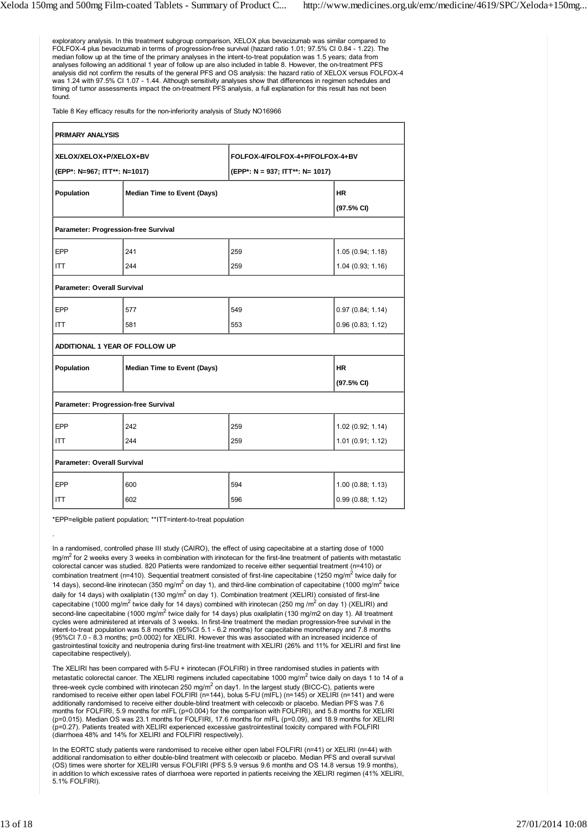exploratory analysis. In this treatment subgroup comparison, XELOX plus bevacizumab was similar compared to FOLFOX-4 plus bevacizumab in terms of progression-free survival (hazard ratio 1.01; 97.5% CI 0.84 - 1.22). The median follow up at the time of the primary analyses in the intent-to-treat population was 1.5 years; data from analyses following an additional 1 year of follow up are also included in table 8. However, the on-treatment PFS analysis did not confirm the results of the general PFS and OS analysis: the hazard ratio of XELOX versus FOLFOX-4 was 1.24 with 97.5% CI 1.07 - 1.44. Although sensitivity analyses show that differences in regimen schedules and timing of tumor assessments impact the on-treatment PFS analysis, a full explanation for this result has not been found.

Table 8 Key efficacy results for the non-inferiority analysis of Study NO16966

| <b>PRIMARY ANALYSIS</b>            |                                      |                                 |                                 |  |  |
|------------------------------------|--------------------------------------|---------------------------------|---------------------------------|--|--|
| XELOX/XELOX+P/XELOX+BV             |                                      |                                 | FOLFOX-4/FOLFOX-4+P/FOLFOX-4+BV |  |  |
| (EPP*: N=967; ITT**: N=1017)       |                                      | (EPP*: N = 937; ITT**: N= 1017) |                                 |  |  |
| Population                         | <b>Median Time to Event (Days)</b>   |                                 | <b>HR</b><br>(97.5% CI)         |  |  |
|                                    | Parameter: Progression-free Survival |                                 |                                 |  |  |
| <b>EPP</b>                         | 241                                  | 259                             | 1.05(0.94; 1.18)                |  |  |
| <b>ITT</b>                         | 244                                  | 259                             | 1.04(0.93; 1.16)                |  |  |
| <b>Parameter: Overall Survival</b> |                                      |                                 |                                 |  |  |
| EPP                                | 577                                  | 549                             | 0.97(0.84; 1.14)                |  |  |
| <b>ITT</b>                         | 581                                  | 553                             | 0.96(0.83; 1.12)                |  |  |
|                                    | ADDITIONAL 1 YEAR OF FOLLOW UP       |                                 |                                 |  |  |
| Population                         | <b>Median Time to Event (Days)</b>   |                                 | <b>HR</b>                       |  |  |
|                                    |                                      |                                 | (97.5% CI)                      |  |  |
|                                    | Parameter: Progression-free Survival |                                 |                                 |  |  |
| EPP                                | 242                                  | 259                             | 1.02 (0.92; 1.14)               |  |  |
| <b>ITT</b>                         | 244                                  | 259                             |                                 |  |  |
| <b>Parameter: Overall Survival</b> |                                      |                                 |                                 |  |  |
| EPP                                | 600                                  | 594                             | 1.00(0.88; 1.13)                |  |  |
| <b>ITT</b>                         | 602                                  | 596                             | 0.99(0.88; 1.12)                |  |  |

\*EPP=eligible patient population; \*\*ITT=intent-to-treat population

In a randomised, controlled phase III study (CAIRO), the effect of using capecitabine at a starting dose of 1000 mg/m<sup>2</sup> for 2 weeks every 3 weeks in combination with irinotecan for the first-line treatment of patients with metastatic colorectal cancer was studied. 820 Patients were randomized to receive either sequential treatment (n=410) or combination treatment (n=410). Sequential treatment consisted of first-line capecitabine (1250 mg/m<sup>2</sup> twice daily for 14 days), second-line irinotecan (350 mg/m<sup>2</sup> on day 1), and third-line combination of capecitabine (1000 mg/m<sup>2</sup> twice daily for 14 days) with oxaliplatin (130 mg/m<sup>2</sup> on day 1). Combination treatment (XELIRI) consisted of first-line capecitabine (1000 mg/m<sup>2</sup> twice daily for 14 days) combined with irinotecan (250 mg /m<sup>2</sup> on day 1) (XELIRI) and second-line capecitabine (1000 mg/m<sup>2</sup> twice daily for 14 days) plus oxaliplatin (130 mg/m2 on day 1). All treatment cycles were administered at intervals of 3 weeks. In first-line treatment the median progression-free survival in the intent-to-treat population was 5.8 months (95%CI 5.1 - 6.2 months) for capecitabine monotherapy and 7.8 months (95%CI 7.0 - 8.3 months; p=0.0002) for XELIRI. However this was associated with an increased incidence of gastrointestinal toxicity and neutropenia during first-line treatment with XELIRI (26% and 11% for XELIRI and first line capecitabine respectively).

The XELIRI has been compared with 5-FU + irinotecan (FOLFIRI) in three randomised studies in patients with metastatic colorectal cancer. The XELIRI regimens included capecitabine 1000 mg/m<sup>2</sup> twice daily on days 1 to 14 of a three-week cycle combined with irinotecan 250 mg/m<sup>2</sup> on day1. In the largest study (BICC-C), patients were randomised to receive either open label FOLFIRI (n=144), bolus 5-FU (mIFL) (n=145) or XELIRI (n=141) and were additionally randomised to receive either double-blind treatment with celecoxib or placebo. Median PFS was 7.6 months for FOLFIRI, 5.9 months for mIFL (p=0.004) for the comparison with FOLFIRI), and 5.8 months for XELIRI (p=0.015). Median OS was 23.1 months for FOLFIRI, 17.6 months for mIFL (p=0.09), and 18.9 months for XELIRI (p=0.27). Patients treated with XELIRI experienced excessive gastrointestinal toxicity compared with FOLFIRI (diarrhoea 48% and 14% for XELIRI and FOLFIRI respectively).

In the EORTC study patients were randomised to receive either open label FOLFIRI (n=41) or XELIRI (n=44) with additional randomisation to either double-blind treatment with celecoxib or placebo. Median PFS and overall survival (OS) times were shorter for XELIRI versus FOLFIRI (PFS 5.9 versus 9.6 months and OS 14.8 versus 19.9 months), in addition to which excessive rates of diarrhoea were reported in patients receiving the XELIRI regimen (41% XELIRI, 5.1% FOLFIRI).

.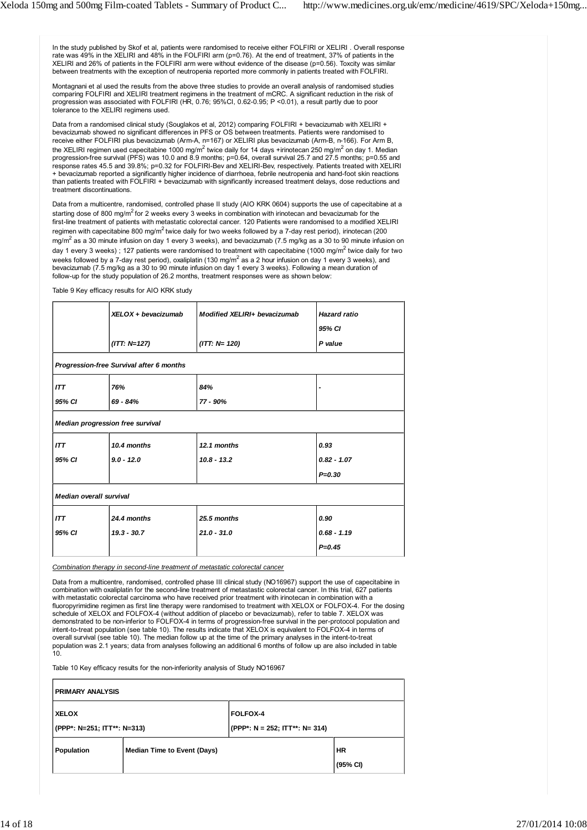In the study published by Skof et al, patients were randomised to receive either FOLFIRI or XELIRI . Overall response rate was 49% in the XELIRI and 48% in the FOLFIRI arm (p=0.76). At the end of treatment, 37% of patients in the XELIRI and 26% of patients in the FOLFIRI arm were without evidence of the disease (p=0.56). Toxcity was similar between treatments with the exception of neutropenia reported more commonly in patients treated with FOLFIRI.

Montagnani et al used the results from the above three studies to provide an overall analysis of randomised studies comparing FOLFIRI and XELIRI treatment regimens in the treatment of mCRC. A significant reduction in the risk of progression was associated with FOLFIRI (HR, 0.76; 95%CI, 0.62-0.95; P <0.01), a result partly due to poor tolerance to the XELIRI regimens used.

Data from a randomised clinical study (Souglakos et al, 2012) comparing FOLFIRI + bevacizumab with XELIRI + bevacizumab showed no significant differences in PFS or OS between treatments. Patients were randomised to receive either FOLFIRI plus bevacizumab (Arm-A, n=167) or XELIRI plus bevacizumab (Arm-B, n-166). For Arm B, the XELIRI regimen used capecitabine 1000 mg/m<sup>2</sup> twice daily for 14 days +irinotecan 250 mg/m<sup>2</sup> on day 1. Median progression-free survival (PFS) was 10.0 and 8.9 months; p=0.64, overall survival 25.7 and 27.5 months; p=0.55 and response rates 45.5 and 39.8%; p=0.32 for FOLFIRI-Bev and XELIRI-Bev, respectively. Patients treated with XELIRI + bevacizumab reported a significantly higher incidence of diarrhoea, febrile neutropenia and hand-foot skin reactions than patients treated with FOLFIRI + bevacizumab with significantly increased treatment delays, dose reductions and treatment discontinuations.

Data from a multicentre, randomised, controlled phase II study (AIO KRK 0604) supports the use of capecitabine at a starting dose of 800 mg/m<sup>2</sup> for 2 weeks every 3 weeks in combination with irinotecan and bevacizumab for the first-line treatment of patients with metastatic colorectal cancer. 120 Patients were randomised to a modified XELIRI regimen with capecitabine 800 mg/m<sup>2</sup> twice daily for two weeks followed by a 7-day rest period), irinotecan (200 mg/m<sup>2</sup> as a 30 minute infusion on day 1 every 3 weeks), and bevacizumab (7.5 mg/kg as a 30 to 90 minute infusion on day 1 every 3 weeks) ; 127 patients were randomised to treatment with capecitabine (1000 mg/m<sup>2</sup> twice daily for two weeks followed by a 7-day rest period), oxaliplatin (130 mg/m<sup>2</sup> as a 2 hour infusion on day 1 every 3 weeks), and bevacizumab (7.5 mg/kg as a 30 to 90 minute infusion on day 1 every 3 weeks). Following a mean duration of follow-up for the study population of 26.2 months, treatment responses were as shown below:

Table 9 Key efficacy results for AIO KRK study

|                                          | XELOX + bevacizumab | Modified XELIRI+ bevacizumab | <b>Hazard ratio</b> |  |  |  |
|------------------------------------------|---------------------|------------------------------|---------------------|--|--|--|
|                                          |                     |                              | 95% CI              |  |  |  |
|                                          | $(1TT: N=127)$      | $(1TT: N= 120)$              | P value             |  |  |  |
| Progression-free Survival after 6 months |                     |                              |                     |  |  |  |
| ITT                                      | 76%                 | 84%                          |                     |  |  |  |
| 95% CI                                   | 69 - 84%            | 77 - 90%                     |                     |  |  |  |
| Median progression free survival         |                     |                              |                     |  |  |  |
| ITT                                      | 10.4 months         | 12.1 months                  | 0.93                |  |  |  |
| 95% CI                                   | $9.0 - 12.0$        | $10.8 - 13.2$                | $0.82 - 1.07$       |  |  |  |
|                                          |                     |                              | $P = 0.30$          |  |  |  |
| Median overall survival                  |                     |                              |                     |  |  |  |
| ITT                                      | 24.4 months         | 25.5 months                  | 0.90                |  |  |  |
| 95% CI                                   | $19.3 - 30.7$       | $21.0 - 31.0$                | $0.68 - 1.19$       |  |  |  |
|                                          |                     |                              | $P = 0.45$          |  |  |  |
|                                          |                     |                              |                     |  |  |  |

*Combination therapy in second-line treatment of metastatic colorectal cancer*

Data from a multicentre, randomised, controlled phase III clinical study (NO16967) support the use of capecitabine in combination with oxaliplatin for the second-line treatment of metastastic colorectal cancer. In this trial, 627 patients with metastatic colorectal carcinoma who have received prior treatment with irinotecan in combination with a fluoropyrimidine regimen as first line therapy were randomised to treatment with XELOX or FOLFOX-4. For the dosing schedule of XELOX and FOLFOX-4 (without addition of placebo or bevacizumab), refer to table 7. XELOX was demonstrated to be non-inferior to FOLFOX-4 in terms of progression-free survival in the per-protocol population and intent-to-treat population (see table 10). The results indicate that XELOX is equivalent to FOLFOX-4 in terms of overall survival (see table 10). The median follow up at the time of the primary analyses in the intent-to-treat population was 2.1 years; data from analyses following an additional 6 months of follow up are also included in table 10.

Table 10 Key efficacy results for the non-inferiority analysis of Study NO16967

| <b>PRIMARY ANALYSIS</b>                     |                                    |                                                          |                       |  |  |  |
|---------------------------------------------|------------------------------------|----------------------------------------------------------|-----------------------|--|--|--|
| <b>XELOX</b><br>(PPP*: N=251; ITT**: N=313) |                                    | <b>FOLFOX-4</b><br>(PPP*: $N = 252$ ; ITT**: $N = 314$ ) |                       |  |  |  |
| Population                                  | <b>Median Time to Event (Days)</b> |                                                          | <b>HR</b><br>(95% CI) |  |  |  |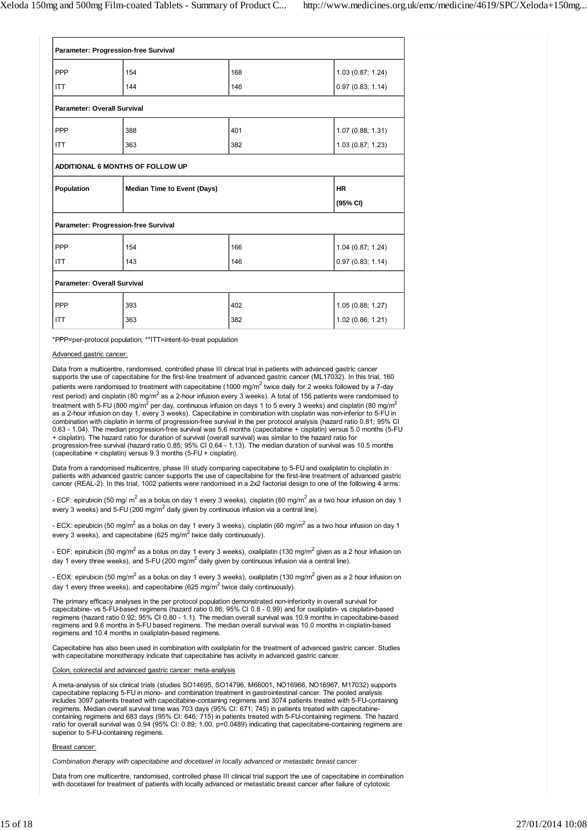| Parameter: Progression-free Survival |                             |     |                   |  |  |  |  |
|--------------------------------------|-----------------------------|-----|-------------------|--|--|--|--|
| <b>PPP</b>                           | 154                         | 168 | 1.03 (0.87; 1.24) |  |  |  |  |
| <b>ITT</b>                           | 144                         | 146 | 0.97(0.83; 1.14)  |  |  |  |  |
| <b>Parameter: Overall Survival</b>   |                             |     |                   |  |  |  |  |
| PPP                                  | 388                         | 401 | 1.07 (0.88; 1.31) |  |  |  |  |
| <b>ITT</b>                           | 363                         | 382 | 1.03(0.87; 1.23)  |  |  |  |  |
| ADDITIONAL 6 MONTHS OF FOLLOW UP     |                             |     |                   |  |  |  |  |
| Population                           | Median Time to Event (Days) |     | <b>HR</b>         |  |  |  |  |
|                                      |                             |     | (95% CI)          |  |  |  |  |
| Parameter: Progression-free Survival |                             |     |                   |  |  |  |  |
| PPP                                  | 154                         | 166 | 1.04 (0.87; 1.24) |  |  |  |  |
| <b>ITT</b>                           | 143                         | 146 | 0.97(0.83; 1.14)  |  |  |  |  |
| <b>Parameter: Overall Survival</b>   |                             |     |                   |  |  |  |  |
| PPP                                  | 393                         | 402 | 1.05 (0.88; 1.27) |  |  |  |  |
| <b>ITT</b>                           | 363                         | 382 | 1.02 (0.86; 1.21) |  |  |  |  |

\*PPP=per-protocol population; \*\*ITT=intent-to-treat population

#### Advanced gastric cancer:

Data from a multicentre, randomised, controlled phase III clinical trial in patients with advanced gastric cancer supports the use of capecitabine for the first-line treatment of advanced gastric cancer (ML17032). In this trial, 160 patients were randomised to treatment with capecitabine (1000 mg/m<sup>2</sup> twice daily for 2 weeks followed by a 7-day rest period) and cisplatin (80 mg/m $^2$  as a 2-hour infusion every 3 weeks). A total of 156 patients were randomised to treatment with 5-FU (800 mg/m<sup>2</sup> per day, continuous infusion on days 1 to 5 every 3 weeks) and cisplatin (80 mg/m<sup>2</sup> as a 2-hour infusion on day 1, every 3 weeks). Capecitabine in combination with cisplatin was non-inferior to 5-FU in combination with cisplatin in terms of progression-free survival in the per protocol analysis (hazard ratio 0.81; 95% CI 0.63 - 1.04). The median progression-free survival was 5.6 months (capecitabine + cisplatin) versus 5.0 months (5-FU + cisplatin). The hazard ratio for duration of survival (overall survival) was similar to the hazard ratio for progression-free survival (hazard ratio 0.85; 95% CI 0.64 - 1.13). The median duration of survival was 10.5 months (capecitabine + cisplatin) versus 9.3 months (5-FU + cisplatin).

Data from a randomised multicentre, phase III study comparing capecitabine to 5-FU and oxaliplatin to cisplatin in patients with advanced gastric cancer supports the use of capecitabine for the first-line treatment of advanced gastric cancer (REAL-2). In this trial, 1002 patients were randomised in a 2x2 factorial design to one of the following 4 arms:

- ECF: epirubicin (50 mg/ m $^2$  as a bolus on day 1 every 3 weeks), cisplatin (60 mg/m $^2$  as a two hour infusion on day 1 every 3 weeks) and 5-FU (200 mg/m<sup>2</sup> daily given by continuous infusion via a central line).

- ECX: epirubicin (50 mg/m $^2$  as a bolus on day 1 every 3 weeks), cisplatin (60 mg/m $^2$  as a two hour infusion on day 1 every 3 weeks), and capecitabine (625 mg/m<sup>2</sup> twice daily continuously).

- EOF: epirubicin (50 mg/m<sup>2</sup> as a bolus on day 1 every 3 weeks), oxaliplatin (130 mg/m<sup>2</sup> given as a 2 hour infusion on day 1 every three weeks), and 5-FU (200 mg/m<sup>2</sup> daily given by continuous infusion via a central line).

- EOX: epirubicin (50 mg/m<sup>2</sup> as a bolus on day 1 every 3 weeks), oxaliplatin (130 mg/m<sup>2</sup> given as a 2 hour infusion on day 1 every three weeks), and capecitabine (625 mg/m<sup>2</sup> twice daily continuously).

The primary efficacy analyses in the per protocol population demonstrated non-inferiority in overall survival for capecitabine- vs 5-FU-based regimens (hazard ratio 0.86; 95% CI 0.8 - 0.99) and for oxaliplatin- vs cisplatin-based regimens (hazard ratio 0.92; 95% CI 0.80 - 1.1). The median overall survival was 10.9 months in capecitabine-based regimens and 9.6 months in 5-FU based regimens. The median overall survival was 10.0 months in cisplatin-based regimens and 10.4 months in oxaliplatin-based regimens.

Capecitabine has also been used in combination with oxaliplatin for the treatment of advanced gastric cancer. Studies with capecitabine monotherapy indicate that capecitabine has activity in advanced gastric cancer.

#### Colon, colorectal and advanced gastric cancer: meta-analysis

A meta-analysis of six clinical trials (studies SO14695, SO14796, M66001, NO16966, NO16967, M17032) supports capecitabine replacing 5-FU in mono- and combination treatment in gastrointestinal cancer. The pooled analysis includes 3097 patients treated with capecitabine-containing regimens and 3074 patients treated with 5-FU-containing regimens. Median overall survival time was 703 days (95% CI: 671; 745) in patients treated with capecitabinecontaining regimens and 683 days (95% CI: 646; 715) in patients treated with 5-FU-containing regimens. The hazard ratio for overall survival was 0.94 (95% CI: 0.89; 1.00, p=0.0489) indicating that capecitabine-containing regimens are superior to 5-FU-containing regimens.

#### Breast cancer:

*Combination therapy with capecitabine and docetaxel in locally advanced or metastatic breast cancer*

Data from one multicentre, randomised, controlled phase III clinical trial support the use of capecitabine in combination with docetaxel for treatment of patients with locally advanced or metastatic breast cancer after failure of cytotoxic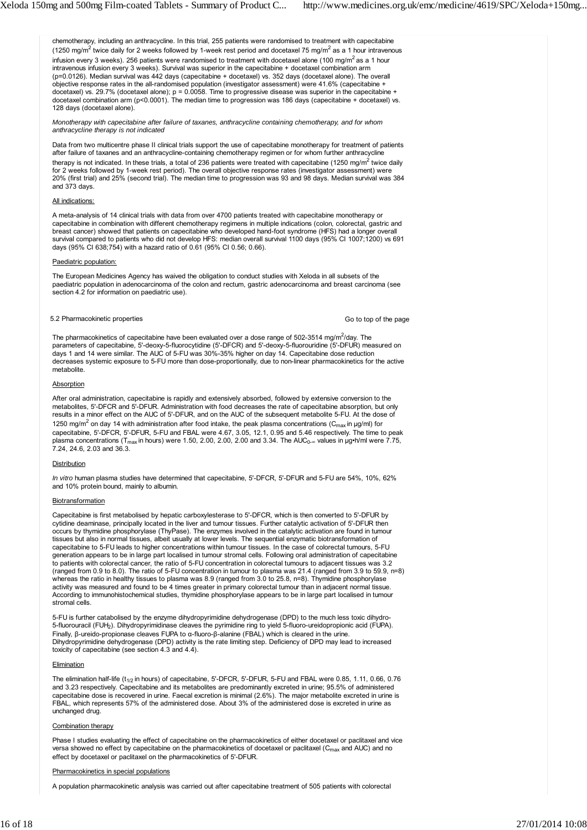chemotherapy, including an anthracycline. In this trial, 255 patients were randomised to treatment with capecitabine (1250 mg/m<sup>2</sup> twice daily for 2 weeks followed by 1-week rest period and docetaxel 75 mg/m<sup>2</sup> as a 1 hour intravenous infusion every 3 weeks). 256 patients were randomised to treatment with docetaxel alone (100 mg/ $m^2$  as a 1 hour intravenous infusion every 3 weeks). Survival was superior in the capecitabine + docetaxel combination arm (p=0.0126). Median survival was 442 days (capecitabine + docetaxel) vs. 352 days (docetaxel alone). The overall objective response rates in the all-randomised population (investigator assessment) were 41.6% (capecitabine + docetaxel) vs. 29.7% (docetaxel alone); p = 0.0058. Time to progressive disease was superior in the capecitabine + docetaxel combination arm (p<0.0001). The median time to progression was 186 days (capecitabine + docetaxel) vs. 128 days (docetaxel alone).

*Monotherapy with capecitabine after failure of taxanes, anthracycline containing chemotherapy, and for whom anthracycline therapy is not indicated*

Data from two multicentre phase II clinical trials support the use of capecitabine monotherapy for treatment of patients after failure of taxanes and an anthracycline-containing chemotherapy regimen or for whom further anthracycline therapy is not indicated. In these trials, a total of 236 patients were treated with capecitabine (1250 mg/m<sup>2</sup> twice daily for 2 weeks followed by 1-week rest period). The overall objective response rates (investigator assessment) were 20% (first trial) and 25% (second trial). The median time to progression was 93 and 98 days. Median survival was 384 and 373 days.

## All indications:

A meta-analysis of 14 clinical trials with data from over 4700 patients treated with capecitabine monotherapy or capecitabine in combination with different chemotherapy regimens in multiple indications (colon, colorectal, gastric and breast cancer) showed that patients on capecitabine who developed hand-foot syndrome (HFS) had a longer overall survival compared to patients who did not develop HFS: median overall survival 1100 days (95% CI 1007;1200) vs 691 days (95% CI 638;754) with a hazard ratio of 0.61 (95% CI 0.56; 0.66).

#### Paediatric population:

The European Medicines Agency has waived the obligation to conduct studies with Xeloda in all subsets of the paediatric population in adenocarcinoma of the colon and rectum, gastric adenocarcinoma and breast carcinoma (see section 4.2 for information on paediatric use).

## 5.2 Pharmacokinetic properties

Go to top of the page

The pharmacokinetics of capecitabine have been evaluated over a dose range of 502-3514 mg/m<sup>2</sup>/day. The parameters of capecitabine, 5'-deoxy-5-fluorocytidine (5'-DFCR) and 5'-deoxy-5-fluorouridine (5'-DFUR) measured on days 1 and 14 were similar. The AUC of 5-FU was 30%-35% higher on day 14. Capecitabine dose reduction decreases systemic exposure to 5-FU more than dose-proportionally, due to non-linear pharmacokinetics for the active metabolite.

## Absorption

After oral administration, capecitabine is rapidly and extensively absorbed, followed by extensive conversion to the metabolites, 5'-DFCR and 5'-DFUR. Administration with food decreases the rate of capecitabine absorption, but only results in a minor effect on the AUC of 5'-DFUR, and on the AUC of the subsequent metabolite 5-FU. At the dose of 1250 mg/m<sup>2</sup> on day 14 with administration after food intake, the peak plasma concentrations (C<sub>max</sub> in µg/ml) for capecitabine, 5'-DFCR, 5'-DFUR, 5-FU and FBAL were 4.67, 3.05, 12.1, 0.95 and 5.46 respectively. The time to peak plasma concentrations (T<sub>max</sub> in hours) were 1.50, 2.00, 2.00, 2.00 and 3.34. The AUC<sub>0</sub>.<sub>∞</sub> values in μg•h/ml were 7.75, 7.24, 24.6, 2.03 and 36.3.

#### **Distribution**

*In vitro* human plasma studies have determined that capecitabine, 5'-DFCR, 5'-DFUR and 5-FU are 54%, 10%, 62% and 10% protein bound, mainly to albumin.

## Biotransformation

Capecitabine is first metabolised by hepatic carboxylesterase to 5'-DFCR, which is then converted to 5'-DFUR by cytidine deaminase, principally located in the liver and tumour tissues. Further catalytic activation of 5'-DFUR then occurs by thymidine phosphorylase (ThyPase). The enzymes involved in the catalytic activation are found in tumour tissues but also in normal tissues, albeit usually at lower levels. The sequential enzymatic biotransformation of capecitabine to 5-FU leads to higher concentrations within tumour tissues. In the case of colorectal tumours, 5-FU generation appears to be in large part localised in tumour stromal cells. Following oral administration of capecitabine to patients with colorectal cancer, the ratio of 5-FU concentration in colorectal tumours to adjacent tissues was 3.2 (ranged from 0.9 to 8.0). The ratio of 5-FU concentration in tumour to plasma was 21.4 (ranged from 3.9 to 59.9, n=8) whereas the ratio in healthy tissues to plasma was 8.9 (ranged from 3.0 to 25.8, n=8). Thymidine phosphorylase activity was measured and found to be 4 times greater in primary colorectal tumour than in adjacent normal tissue. According to immunohistochemical studies, thymidine phosphorylase appears to be in large part localised in tumour stromal cells.

5-FU is further catabolised by the enzyme dihydropyrimidine dehydrogenase (DPD) to the much less toxic dihydro-5-fluorouracil (FUH2). Dihydropyrimidinase cleaves the pyrimidine ring to yield 5-fluoro-ureidopropionic acid (FUPA). Finally, β-ureido-propionase cleaves FUPA to α-fluoro-β-alanine (FBAL) which is cleared in the urine. Dihydropyrimidine dehydrogenase (DPD) activity is the rate limiting step. Deficiency of DPD may lead to increased toxicity of capecitabine (see section 4.3 and 4.4).

## Elimination

The elimination half-life (t<sub>1/2</sub> in hours) of capecitabine, 5'-DFCR, 5'-DFUR, 5-FU and FBAL were 0.85, 1.11, 0.66, 0.76 and 3.23 respectively. Capecitabine and its metabolites are predominantly excreted in urine; 95.5% of administered capecitabine dose is recovered in urine. Faecal excretion is minimal (2.6%). The major metabolite excreted in urine is FBAL, which represents 57% of the administered dose. About 3% of the administered dose is excreted in urine as unchanged drug.

# Combination therapy

Phase I studies evaluating the effect of capecitabine on the pharmacokinetics of either docetaxel or paclitaxel and vice versa showed no effect by capecitabine on the pharmacokinetics of docetaxel or paclitaxel (C<sub>max</sub> and AUC) and no effect by docetaxel or paclitaxel on the pharmacokinetics of 5'-DFUR.

#### Pharmacokinetics in special populations

A population pharmacokinetic analysis was carried out after capecitabine treatment of 505 patients with colorectal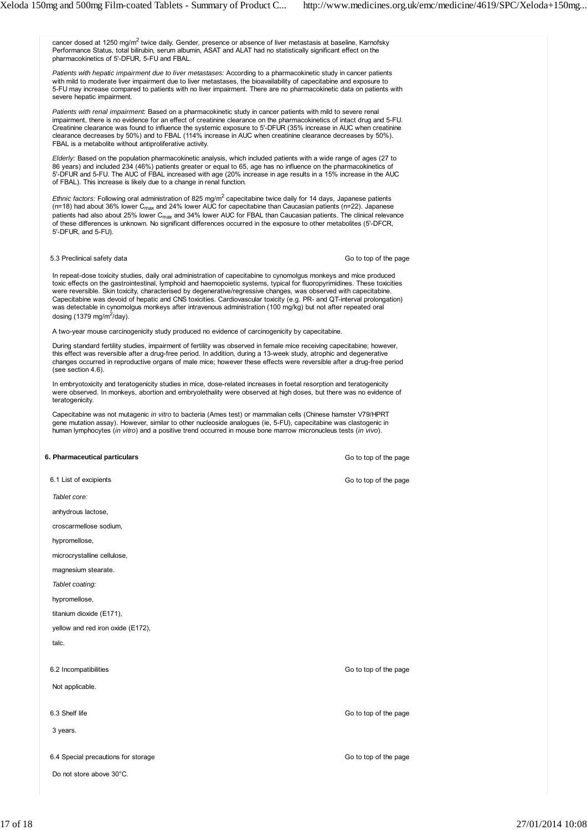cancer dosed at 1250 mg/m<sup>2</sup> twice daily. Gender, presence or absence of liver metastasis at baseline, Karnofsky Performance Status, total bilirubin, serum albumin, ASAT and ALAT had no statistically significant effect on the pharmacokinetics of 5'-DFUR, 5-FU and FBAL.

*Patients with hepatic impairment due to liver metastases:* According to a pharmacokinetic study in cancer patients with mild to moderate liver impairment due to liver metastases, the bioavailability of capecitabine and exposure to with mild to moderate liver impairment due to liver metastases, the bioavailability of capecitabine and ex 5-FU may increase compared to patients with no liver impairment. There are no pharmacokinetic data on patients with severe hepatic impairment.

*Patients with renal impairment:* Based on a pharmacokinetic study in cancer patients with mild to severe renal impairment, there is no evidence for an effect of creatinine clearance on the pharmacokinetics of intact drug and 5-FU. Creatinine clearance was found to influence the systemic exposure to 5'-DFUR (35% increase in AUC when creatinine clearance decreases by 50%) and to FBAL (114% increase in AUC when creatinine clearance decreases by 50%). FBAL is a metabolite without antiproliferative activity.

*Elderly:* Based on the population pharmacokinetic analysis, which included patients with a wide range of ages (27 to 86 years) and included 234 (46%) patients greater or equal to 65, age has no influence on the pharmacokinetics of 5'-DFUR and 5-FU. The AUC of FBAL increased with age (20% increase in age results in a 15% increase in the AUC of FBAL). This increase is likely due to a change in renal function.

Ethnic factors: Following oral administration of 825 mg/m<sup>2</sup> capecitabine twice daily for 14 days, Japanese patients (n=18) had about 36% lower C<sub>max</sub> and 24% lower AUC for capecitabine than Caucasian patients (n=22). Japanese patients had also about 25% lower C<sub>max</sub> and 34% lower AUC for FBAL than Caucasian patients. The clinical relevance of these differences is unknown. No significant differences occurred in the exposure to other metabolites (5'-DFCR, 5'-DFUR, and 5-FU).

# 5.3 Preclinical safety data

Go to top of the page

In repeat-dose toxicity studies, daily oral administration of capecitabine to cynomolgus monkeys and mice produced toxic effects on the gastrointestinal, lymphoid and haemopoietic systems, typical for fluoropyrimidines. These toxicities were reversible. Skin toxicity, characterised by degenerative/regressive changes, was observed with capecitabine. Capecitabine was devoid of hepatic and CNS toxicities. Cardiovascular toxicity (e.g. PR- and QT-interval prolongation) was detectable in cynomolgus monkeys after intravenous administration (100 mg/kg) but not after repeated oral dosing (1379 mg/m $^2$ /day).

A two-year mouse carcinogenicity study produced no evidence of carcinogenicity by capecitabine.

During standard fertility studies, impairment of fertility was observed in female mice receiving capecitabine; however, this effect was reversible after a drug-free period. In addition, during a 13-week study, atrophic and degenerative changes occurred in reproductive organs of male mice; however these effects were reversible after a drug-free period (see section 4.6).

In embryotoxicity and teratogenicity studies in mice, dose-related increases in foetal resorption and teratogenicity were observed. In monkeys, abortion and embryolethality were observed at high doses, but there was no evidence of teratogenicity.

Capecitabine was not mutagenic *in vitro* to bacteria (Ames test) or mammalian cells (Chinese hamster V79/HPRT gene mutation assay). However, similar to other nucleoside analogues (ie, 5-FU), capecitabine was clastogenic in human lymphocytes (*in vitro*) and a positive trend occurred in mouse bone marrow micronucleus tests (*in vivo*).

# **6. Pharmaceutical particulars** 6.1 List of excipients *Tablet core:* anhydrous lactose, croscarmellose sodium, hypromellose, microcrystalline cellulose, magnesium stearate. *Tablet coating:* hypromellose, titanium dioxide (E171), yellow and red iron oxide (E172), talc. 6.2 Incompatibilities Not applicable. 6.3 Shelf life 3 years. 6.4 Special precautions for storage Do not store above 30°C. Go to top of the page Go to top of the page Go to top of the page Go to top of the page Go to top of the page